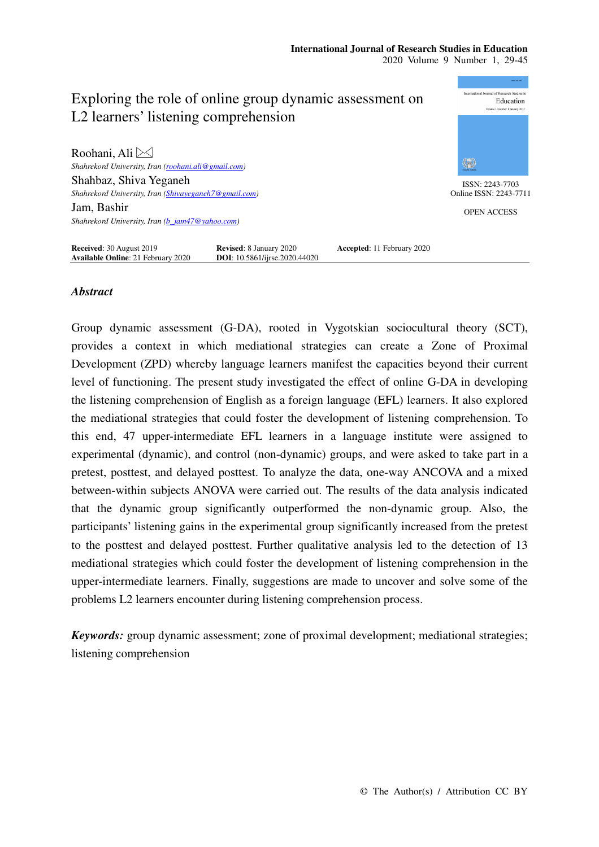

# *Abstract*

Group dynamic assessment (G-DA), rooted in Vygotskian sociocultural theory (SCT), provides a context in which mediational strategies can create a Zone of Proximal Development (ZPD) whereby language learners manifest the capacities beyond their current level of functioning. The present study investigated the effect of online G-DA in developing the listening comprehension of English as a foreign language (EFL) learners. It also explored the mediational strategies that could foster the development of listening comprehension. To this end, 47 upper-intermediate EFL learners in a language institute were assigned to experimental (dynamic), and control (non-dynamic) groups, and were asked to take part in a pretest, posttest, and delayed posttest. To analyze the data, one-way ANCOVA and a mixed between-within subjects ANOVA were carried out. The results of the data analysis indicated that the dynamic group significantly outperformed the non-dynamic group. Also, the participants' listening gains in the experimental group significantly increased from the pretest to the posttest and delayed posttest. Further qualitative analysis led to the detection of 13 mediational strategies which could foster the development of listening comprehension in the upper-intermediate learners. Finally, suggestions are made to uncover and solve some of the problems L2 learners encounter during listening comprehension process.

*Keywords:* group dynamic assessment; zone of proximal development; mediational strategies; listening comprehension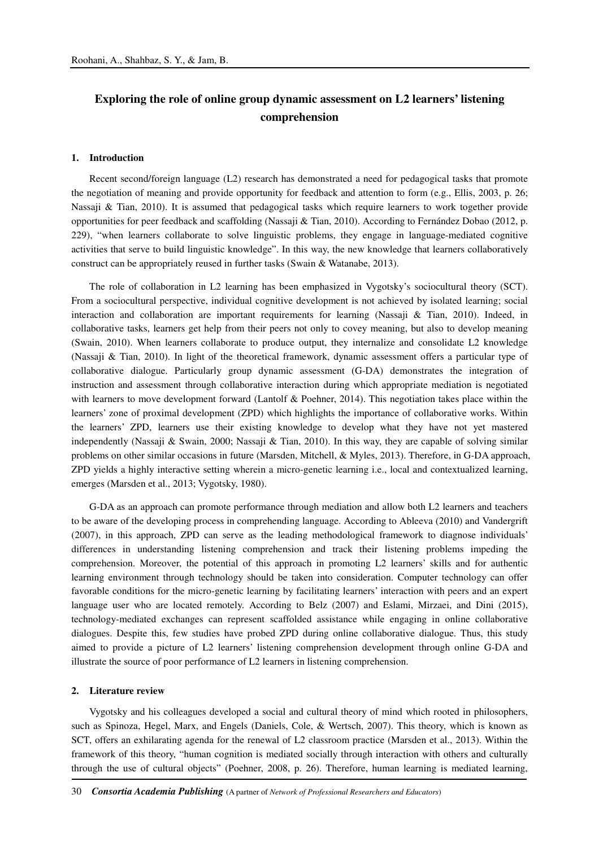# **Exploring the role of online group dynamic assessment on L2 learners' listening comprehension**

#### **1. Introduction**

Recent second/foreign language (L2) research has demonstrated a need for pedagogical tasks that promote the negotiation of meaning and provide opportunity for feedback and attention to form (e.g., Ellis, 2003, p. 26; Nassaji & Tian, 2010). It is assumed that pedagogical tasks which require learners to work together provide opportunities for peer feedback and scaffolding (Nassaji & Tian, 2010). According to Fernández Dobao (2012, p. 229), "when learners collaborate to solve linguistic problems, they engage in language-mediated cognitive activities that serve to build linguistic knowledge". In this way, the new knowledge that learners collaboratively construct can be appropriately reused in further tasks (Swain & Watanabe, 2013).

The role of collaboration in L2 learning has been emphasized in Vygotsky's sociocultural theory (SCT). From a sociocultural perspective, individual cognitive development is not achieved by isolated learning; social interaction and collaboration are important requirements for learning (Nassaji & Tian, 2010). Indeed, in collaborative tasks, learners get help from their peers not only to covey meaning, but also to develop meaning (Swain, 2010). When learners collaborate to produce output, they internalize and consolidate L2 knowledge (Nassaji & Tian, 2010). In light of the theoretical framework, dynamic assessment offers a particular type of collaborative dialogue. Particularly group dynamic assessment (G-DA) demonstrates the integration of instruction and assessment through collaborative interaction during which appropriate mediation is negotiated with learners to move development forward (Lantolf & Poehner, 2014). This negotiation takes place within the learners' zone of proximal development (ZPD) which highlights the importance of collaborative works. Within the learners' ZPD, learners use their existing knowledge to develop what they have not yet mastered independently (Nassaji & Swain, 2000; Nassaji & Tian, 2010). In this way, they are capable of solving similar problems on other similar occasions in future (Marsden, Mitchell, & Myles, 2013). Therefore, in G-DA approach, ZPD yields a highly interactive setting wherein a micro-genetic learning i.e., local and contextualized learning, emerges (Marsden et al., 2013; Vygotsky, 1980).

G-DA as an approach can promote performance through mediation and allow both L2 learners and teachers to be aware of the developing process in comprehending language. According to Ableeva (2010) and Vandergrift (2007), in this approach, ZPD can serve as the leading methodological framework to diagnose individuals' differences in understanding listening comprehension and track their listening problems impeding the comprehension. Moreover, the potential of this approach in promoting L2 learners' skills and for authentic learning environment through technology should be taken into consideration. Computer technology can offer favorable conditions for the micro-genetic learning by facilitating learners' interaction with peers and an expert language user who are located remotely. According to Belz (2007) and Eslami, Mirzaei, and Dini (2015), technology-mediated exchanges can represent scaffolded assistance while engaging in online collaborative dialogues. Despite this, few studies have probed ZPD during online collaborative dialogue. Thus, this study aimed to provide a picture of L2 learners' listening comprehension development through online G-DA and illustrate the source of poor performance of L2 learners in listening comprehension.

#### **2. Literature review**

Vygotsky and his colleagues developed a social and cultural theory of mind which rooted in philosophers, such as Spinoza, Hegel, Marx, and Engels (Daniels, Cole, & Wertsch, 2007). This theory, which is known as SCT, offers an exhilarating agenda for the renewal of L2 classroom practice (Marsden et al., 2013). Within the framework of this theory, "human cognition is mediated socially through interaction with others and culturally through the use of cultural objects" (Poehner, 2008, p. 26). Therefore, human learning is mediated learning,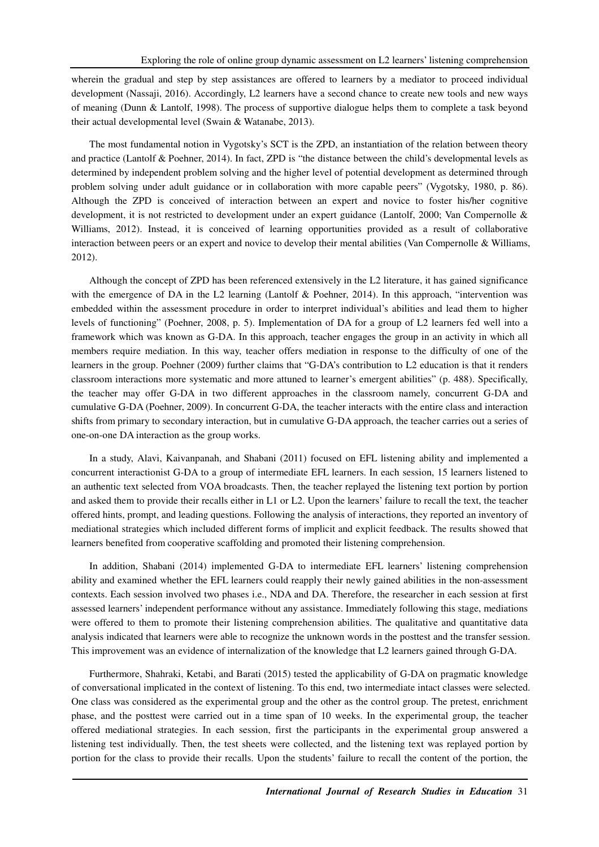wherein the gradual and step by step assistances are offered to learners by a mediator to proceed individual development (Nassaji, 2016). Accordingly, L2 learners have a second chance to create new tools and new ways of meaning (Dunn & Lantolf, 1998). The process of supportive dialogue helps them to complete a task beyond their actual developmental level (Swain & Watanabe, 2013).

The most fundamental notion in Vygotsky's SCT is the ZPD, an instantiation of the relation between theory and practice (Lantolf & Poehner, 2014). In fact, ZPD is "the distance between the child's developmental levels as determined by independent problem solving and the higher level of potential development as determined through problem solving under adult guidance or in collaboration with more capable peers" (Vygotsky, 1980, p. 86). Although the ZPD is conceived of interaction between an expert and novice to foster his/her cognitive development, it is not restricted to development under an expert guidance (Lantolf, 2000; Van Compernolle & Williams, 2012). Instead, it is conceived of learning opportunities provided as a result of collaborative interaction between peers or an expert and novice to develop their mental abilities (Van Compernolle & Williams, 2012).

Although the concept of ZPD has been referenced extensively in the L2 literature, it has gained significance with the emergence of DA in the L2 learning (Lantolf & Poehner, 2014). In this approach, "intervention was embedded within the assessment procedure in order to interpret individual's abilities and lead them to higher levels of functioning" (Poehner, 2008, p. 5). Implementation of DA for a group of L2 learners fed well into a framework which was known as G-DA. In this approach, teacher engages the group in an activity in which all members require mediation. In this way, teacher offers mediation in response to the difficulty of one of the learners in the group. Poehner (2009) further claims that "G-DA's contribution to L2 education is that it renders classroom interactions more systematic and more attuned to learner's emergent abilities" (p. 488). Specifically, the teacher may offer G-DA in two different approaches in the classroom namely, concurrent G-DA and cumulative G-DA (Poehner, 2009). In concurrent G-DA, the teacher interacts with the entire class and interaction shifts from primary to secondary interaction, but in cumulative G-DA approach, the teacher carries out a series of one-on-one DA interaction as the group works.

In a study, Alavi, Kaivanpanah, and Shabani (2011) focused on EFL listening ability and implemented a concurrent interactionist G-DA to a group of intermediate EFL learners. In each session, 15 learners listened to an authentic text selected from VOA broadcasts. Then, the teacher replayed the listening text portion by portion and asked them to provide their recalls either in L1 or L2. Upon the learners' failure to recall the text, the teacher offered hints, prompt, and leading questions. Following the analysis of interactions, they reported an inventory of mediational strategies which included different forms of implicit and explicit feedback. The results showed that learners benefited from cooperative scaffolding and promoted their listening comprehension.

In addition, Shabani (2014) implemented G-DA to intermediate EFL learners' listening comprehension ability and examined whether the EFL learners could reapply their newly gained abilities in the non-assessment contexts. Each session involved two phases i.e., NDA and DA. Therefore, the researcher in each session at first assessed learners' independent performance without any assistance. Immediately following this stage, mediations were offered to them to promote their listening comprehension abilities. The qualitative and quantitative data analysis indicated that learners were able to recognize the unknown words in the posttest and the transfer session. This improvement was an evidence of internalization of the knowledge that L2 learners gained through G-DA.

Furthermore, Shahraki, Ketabi, and Barati (2015) tested the applicability of G-DA on pragmatic knowledge of conversational implicated in the context of listening. To this end, two intermediate intact classes were selected. One class was considered as the experimental group and the other as the control group. The pretest, enrichment phase, and the posttest were carried out in a time span of 10 weeks. In the experimental group, the teacher offered mediational strategies. In each session, first the participants in the experimental group answered a listening test individually. Then, the test sheets were collected, and the listening text was replayed portion by portion for the class to provide their recalls. Upon the students' failure to recall the content of the portion, the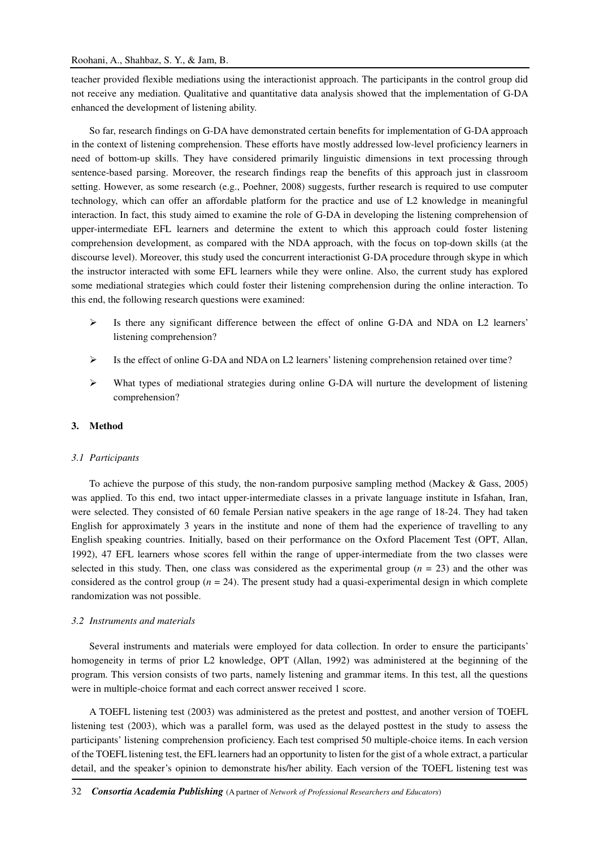teacher provided flexible mediations using the interactionist approach. The participants in the control group did not receive any mediation. Qualitative and quantitative data analysis showed that the implementation of G-DA enhanced the development of listening ability.

So far, research findings on G-DA have demonstrated certain benefits for implementation of G-DA approach in the context of listening comprehension. These efforts have mostly addressed low-level proficiency learners in need of bottom-up skills. They have considered primarily linguistic dimensions in text processing through sentence-based parsing. Moreover, the research findings reap the benefits of this approach just in classroom setting. However, as some research (e.g., Poehner, 2008) suggests, further research is required to use computer technology, which can offer an affordable platform for the practice and use of L2 knowledge in meaningful interaction. In fact, this study aimed to examine the role of G-DA in developing the listening comprehension of upper-intermediate EFL learners and determine the extent to which this approach could foster listening comprehension development, as compared with the NDA approach, with the focus on top-down skills (at the discourse level). Moreover, this study used the concurrent interactionist G-DA procedure through skype in which the instructor interacted with some EFL learners while they were online. Also, the current study has explored some mediational strategies which could foster their listening comprehension during the online interaction. To this end, the following research questions were examined:

- $\triangleright$  Is there any significant difference between the effect of online G-DA and NDA on L2 learners' listening comprehension?
- $\triangleright$  Is the effect of online G-DA and NDA on L2 learners' listening comprehension retained over time?
- $\triangleright$  What types of mediational strategies during online G-DA will nurture the development of listening comprehension?

# **3. Method**

#### *3.1 Participants*

To achieve the purpose of this study, the non-random purposive sampling method (Mackey & Gass, 2005) was applied. To this end, two intact upper-intermediate classes in a private language institute in Isfahan, Iran, were selected. They consisted of 60 female Persian native speakers in the age range of 18-24. They had taken English for approximately 3 years in the institute and none of them had the experience of travelling to any English speaking countries. Initially, based on their performance on the Oxford Placement Test (OPT, Allan, 1992), 47 EFL learners whose scores fell within the range of upper-intermediate from the two classes were selected in this study. Then, one class was considered as the experimental group ( $n = 23$ ) and the other was considered as the control group ( $n = 24$ ). The present study had a quasi-experimental design in which complete randomization was not possible.

### *3.2 Instruments and materials*

Several instruments and materials were employed for data collection. In order to ensure the participants' homogeneity in terms of prior L2 knowledge, OPT (Allan, 1992) was administered at the beginning of the program. This version consists of two parts, namely listening and grammar items. In this test, all the questions were in multiple-choice format and each correct answer received 1 score.

A TOEFL listening test (2003) was administered as the pretest and posttest, and another version of TOEFL listening test (2003), which was a parallel form, was used as the delayed posttest in the study to assess the participants' listening comprehension proficiency. Each test comprised 50 multiple-choice items. In each version of the TOEFL listening test, the EFL learners had an opportunity to listen for the gist of a whole extract, a particular detail, and the speaker's opinion to demonstrate his/her ability. Each version of the TOEFL listening test was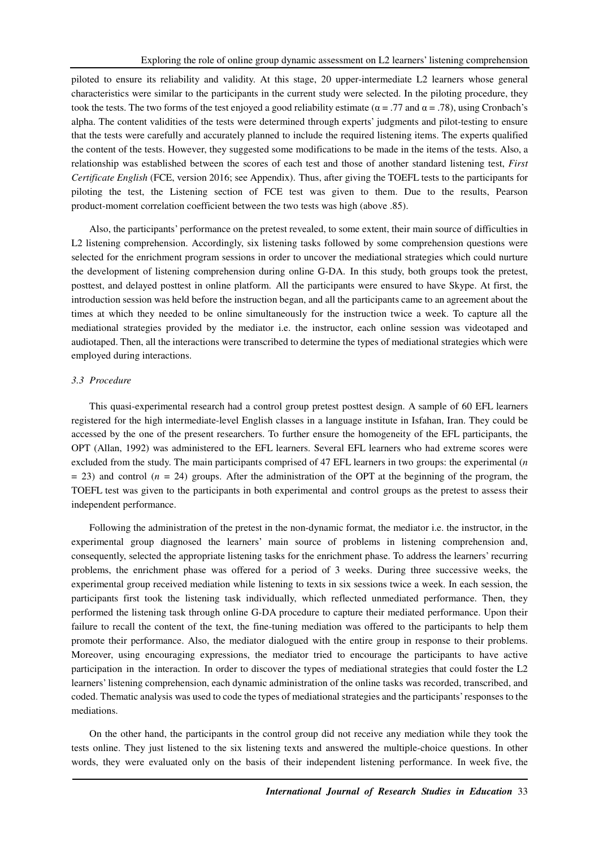piloted to ensure its reliability and validity. At this stage, 20 upper-intermediate L2 learners whose general characteristics were similar to the participants in the current study were selected. In the piloting procedure, they took the tests. The two forms of the test enjoyed a good reliability estimate ( $α = .77$  and  $α = .78$ ), using Cronbach's alpha. The content validities of the tests were determined through experts' judgments and pilot-testing to ensure that the tests were carefully and accurately planned to include the required listening items. The experts qualified the content of the tests. However, they suggested some modifications to be made in the items of the tests. Also, a relationship was established between the scores of each test and those of another standard listening test, *First Certificate English* (FCE, version 2016; see Appendix). Thus, after giving the TOEFL tests to the participants for piloting the test, the Listening section of FCE test was given to them. Due to the results, Pearson product-moment correlation coefficient between the two tests was high (above .85).

Also, the participants' performance on the pretest revealed, to some extent, their main source of difficulties in L2 listening comprehension. Accordingly, six listening tasks followed by some comprehension questions were selected for the enrichment program sessions in order to uncover the mediational strategies which could nurture the development of listening comprehension during online G-DA. In this study, both groups took the pretest, posttest, and delayed posttest in online platform. All the participants were ensured to have Skype. At first, the introduction session was held before the instruction began, and all the participants came to an agreement about the times at which they needed to be online simultaneously for the instruction twice a week. To capture all the mediational strategies provided by the mediator i.e. the instructor, each online session was videotaped and audiotaped. Then, all the interactions were transcribed to determine the types of mediational strategies which were employed during interactions.

#### *3.3 Procedure*

This quasi-experimental research had a control group pretest posttest design. A sample of 60 EFL learners registered for the high intermediate-level English classes in a language institute in Isfahan, Iran. They could be accessed by the one of the present researchers. To further ensure the homogeneity of the EFL participants, the OPT (Allan, 1992) was administered to the EFL learners. Several EFL learners who had extreme scores were excluded from the study. The main participants comprised of 47 EFL learners in two groups: the experimental (*n*  $= 23$ ) and control ( $n = 24$ ) groups. After the administration of the OPT at the beginning of the program, the TOEFL test was given to the participants in both experimental and control groups as the pretest to assess their independent performance.

Following the administration of the pretest in the non-dynamic format, the mediator i.e. the instructor, in the experimental group diagnosed the learners' main source of problems in listening comprehension and, consequently, selected the appropriate listening tasks for the enrichment phase. To address the learners' recurring problems, the enrichment phase was offered for a period of 3 weeks. During three successive weeks, the experimental group received mediation while listening to texts in six sessions twice a week. In each session, the participants first took the listening task individually, which reflected unmediated performance. Then, they performed the listening task through online G-DA procedure to capture their mediated performance. Upon their failure to recall the content of the text, the fine-tuning mediation was offered to the participants to help them promote their performance. Also, the mediator dialogued with the entire group in response to their problems. Moreover, using encouraging expressions, the mediator tried to encourage the participants to have active participation in the interaction. In order to discover the types of mediational strategies that could foster the L2 learners' listening comprehension, each dynamic administration of the online tasks was recorded, transcribed, and coded. Thematic analysis was used to code the types of mediational strategies and the participants' responses to the mediations.

On the other hand, the participants in the control group did not receive any mediation while they took the tests online. They just listened to the six listening texts and answered the multiple-choice questions. In other words, they were evaluated only on the basis of their independent listening performance. In week five, the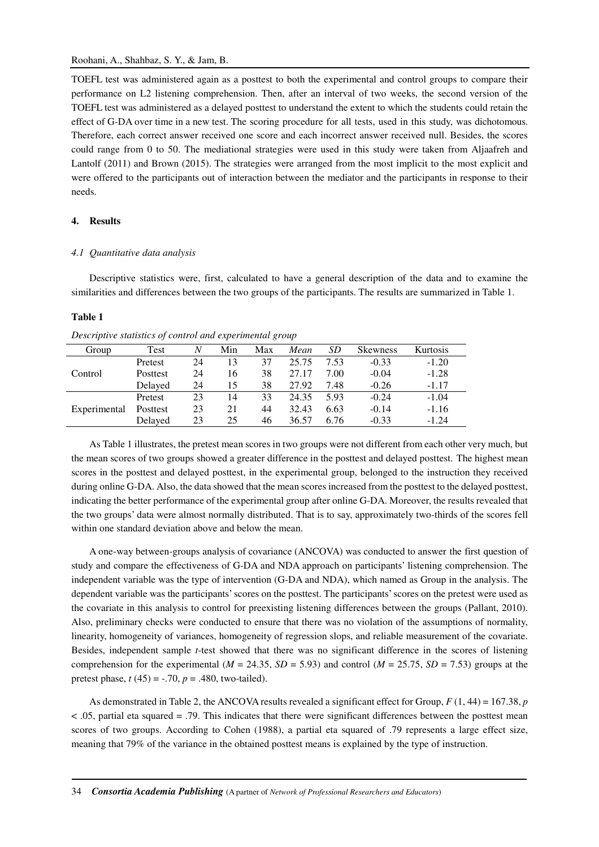TOEFL test was administered again as a posttest to both the experimental and control groups to compare their performance on L2 listening comprehension. Then, after an interval of two weeks, the second version of the TOEFL test was administered as a delayed posttest to understand the extent to which the students could retain the effect of G-DA over time in a new test. The scoring procedure for all tests, used in this study, was dichotomous. Therefore, each correct answer received one score and each incorrect answer received null. Besides, the scores could range from 0 to 50. The mediational strategies were used in this study were taken from Aljaafreh and Lantolf (2011) and Brown (2015). The strategies were arranged from the most implicit to the most explicit and were offered to the participants out of interaction between the mediator and the participants in response to their needs.

### **4. Results**

#### *4.1 Quantitative data analysis*

Descriptive statistics were, first, calculated to have a general description of the data and to examine the similarities and differences between the two groups of the participants. The results are summarized in Table 1.

### **Table 1**

| Group        | Test     | N  | Min | Max | Mean  | SD   | <b>Skewness</b> | Kurtosis |
|--------------|----------|----|-----|-----|-------|------|-----------------|----------|
|              | Pretest  | 24 | 13  | 37  | 25.75 | 7.53 | $-0.33$         | $-1.20$  |
| Control      | Posttest | 24 | 16  | 38  | 27.17 | 7.00 | $-0.04$         | $-1.28$  |
|              | Delayed  | 24 | 15  | 38  | 27.92 | 7.48 | $-0.26$         | $-1.17$  |
|              | Pretest  | 23 | 14  | 33  | 24.35 | 5.93 | $-0.24$         | $-1.04$  |
| Experimental | Posttest | 23 | 21  | 44  | 32.43 | 6.63 | $-0.14$         | $-1.16$  |
|              | Delayed  | 23 | 25  | 46  | 36.57 | 6.76 | $-0.33$         | $-1.24$  |

*Descriptive statistics of control and experimental group* 

As Table 1 illustrates, the pretest mean scores in two groups were not different from each other very much, but the mean scores of two groups showed a greater difference in the posttest and delayed posttest. The highest mean scores in the posttest and delayed posttest, in the experimental group, belonged to the instruction they received during online G-DA. Also, the data showed that the mean scores increased from the posttest to the delayed posttest, indicating the better performance of the experimental group after online G-DA. Moreover, the results revealed that the two groups' data were almost normally distributed. That is to say, approximately two-thirds of the scores fell within one standard deviation above and below the mean.

A one-way between-groups analysis of covariance (ANCOVA) was conducted to answer the first question of study and compare the effectiveness of G-DA and NDA approach on participants' listening comprehension. The independent variable was the type of intervention (G-DA and NDA), which named as Group in the analysis. The dependent variable was the participants' scores on the posttest. The participants' scores on the pretest were used as the covariate in this analysis to control for preexisting listening differences between the groups (Pallant, 2010). Also, preliminary checks were conducted to ensure that there was no violation of the assumptions of normality, linearity, homogeneity of variances, homogeneity of regression slops, and reliable measurement of the covariate. Besides, independent sample *t*-test showed that there was no significant difference in the scores of listening comprehension for the experimental ( $M = 24.35$ ,  $SD = 5.93$ ) and control ( $M = 25.75$ ,  $SD = 7.53$ ) groups at the pretest phase,  $t(45) = -.70$ ,  $p = .480$ , two-tailed).

As demonstrated in Table 2, the ANCOVA results revealed a significant effect for Group, *F* (1, 44) = 167.38, *p* < .05, partial eta squared = .79. This indicates that there were significant differences between the posttest mean scores of two groups. According to Cohen (1988), a partial eta squared of .79 represents a large effect size, meaning that 79% of the variance in the obtained posttest means is explained by the type of instruction.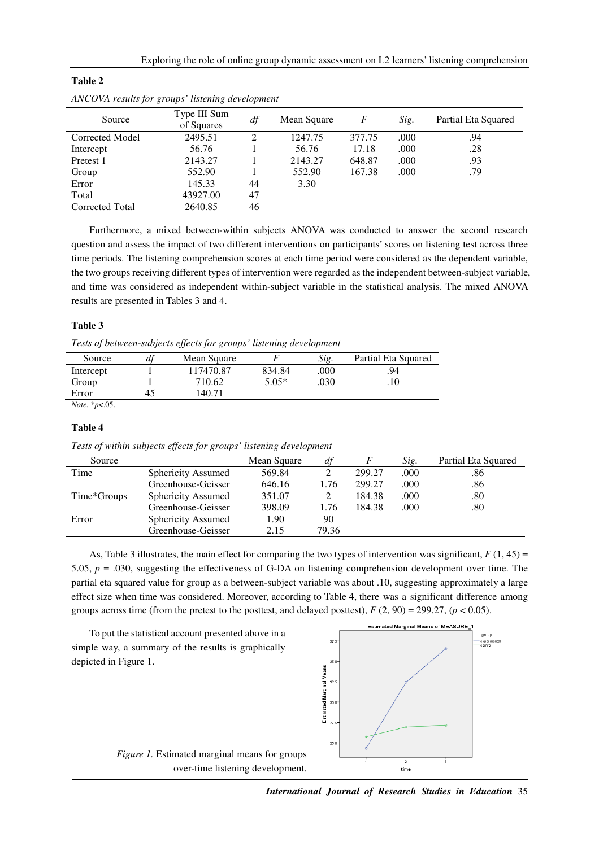| Source          | Type III Sum<br>of Squares | df | Mean Square | F      | Sig. | Partial Eta Squared |
|-----------------|----------------------------|----|-------------|--------|------|---------------------|
| Corrected Model | 2495.51                    | ∍  | 1247.75     | 377.75 | .000 | .94                 |
| Intercept       | 56.76                      |    | 56.76       | 17.18  | .000 | .28                 |
| Pretest 1       | 2143.27                    |    | 2143.27     | 648.87 | .000 | .93                 |
| Group           | 552.90                     |    | 552.90      | 167.38 | .000 | .79                 |
| Error           | 145.33                     | 44 | 3.30        |        |      |                     |
| Total           | 43927.00                   | 47 |             |        |      |                     |
| Corrected Total | 2640.85                    | 46 |             |        |      |                     |
|                 |                            |    |             |        |      |                     |

| Table 2                                          |  |
|--------------------------------------------------|--|
| ANCOVA results for groups' listening development |  |

Furthermore, a mixed between-within subjects ANOVA was conducted to answer the second research question and assess the impact of two different interventions on participants' scores on listening test across three time periods. The listening comprehension scores at each time period were considered as the dependent variable, the two groups receiving different types of intervention were regarded as the independent between-subject variable, and time was considered as independent within-subject variable in the statistical analysis. The mixed ANOVA results are presented in Tables 3 and 4.

# **Table 3**

*Tests of between-subjects effects for groups' listening development* 

| Source    | a  | Mean Square |         | Sig. | Partial Eta Squared |
|-----------|----|-------------|---------|------|---------------------|
| Intercept |    | 117470.87   | 834.84  | .000 | 94                  |
| Group     |    | 710.62      | $5.05*$ | .030 | .10                 |
| Error     | 45 | 140.71      |         |      |                     |
|           |    |             |         |      |                     |

*Note.* \**p*<.05.

#### **Table 4**

*Tests of within subjects effects for groups' listening development* 

| Source      |                    | Mean Square | df    |        | Sig. | Partial Eta Squared |
|-------------|--------------------|-------------|-------|--------|------|---------------------|
| Time        | Sphericity Assumed | 569.84      |       | 299.27 | .000 | .86                 |
|             | Greenhouse-Geisser | 646.16      | 1.76  | 299.27 | .000 | .86                 |
| Time*Groups | Sphericity Assumed | 351.07      |       | 184.38 | .000 | .80                 |
|             | Greenhouse-Geisser | 398.09      | 1.76  | 184.38 | .000 | .80                 |
| Error       | Sphericity Assumed | 1.90        | 90    |        |      |                     |
|             | Greenhouse-Geisser | 2.15        | 79.36 |        |      |                     |

As, Table 3 illustrates, the main effect for comparing the two types of intervention was significant,  $F(1, 45) =$ 5.05, *p* = .030, suggesting the effectiveness of G-DA on listening comprehension development over time. The partial eta squared value for group as a between-subject variable was about .10, suggesting approximately a large effect size when time was considered. Moreover, according to Table 4, there was a significant difference among groups across time (from the pretest to the posttest, and delayed posttest),  $F(2, 90) = 299.27$ ,  $(p < 0.05)$ .



*International Journal of Research Studies in Education* 35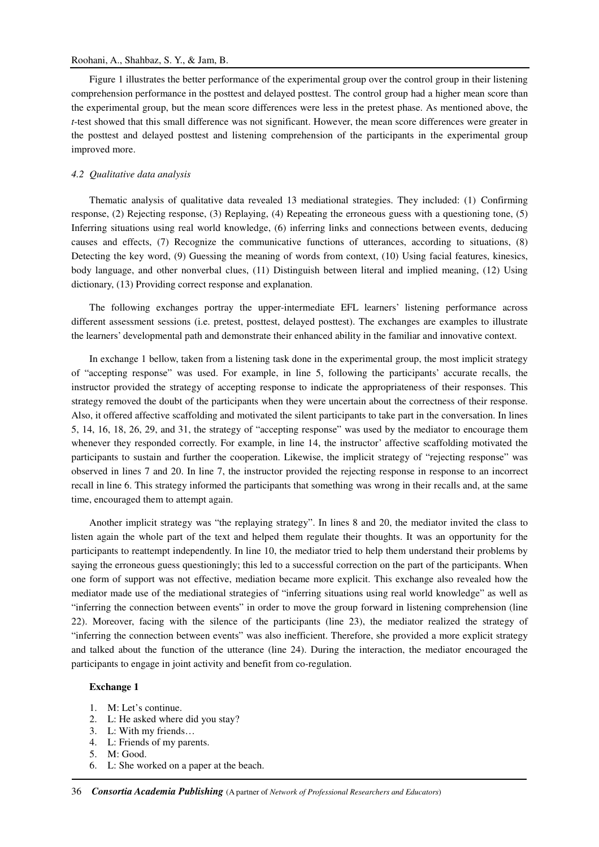### Roohani, A., Shahbaz, S. Y., & Jam, B.

Figure 1 illustrates the better performance of the experimental group over the control group in their listening comprehension performance in the posttest and delayed posttest. The control group had a higher mean score than the experimental group, but the mean score differences were less in the pretest phase. As mentioned above, the *t*-test showed that this small difference was not significant. However, the mean score differences were greater in the posttest and delayed posttest and listening comprehension of the participants in the experimental group improved more.

### *4.2 Qualitative data analysis*

Thematic analysis of qualitative data revealed 13 mediational strategies. They included: (1) Confirming response, (2) Rejecting response, (3) Replaying, (4) Repeating the erroneous guess with a questioning tone, (5) Inferring situations using real world knowledge, (6) inferring links and connections between events, deducing causes and effects, (7) Recognize the communicative functions of utterances, according to situations, (8) Detecting the key word, (9) Guessing the meaning of words from context, (10) Using facial features, kinesics, body language, and other nonverbal clues, (11) Distinguish between literal and implied meaning, (12) Using dictionary, (13) Providing correct response and explanation.

The following exchanges portray the upper-intermediate EFL learners' listening performance across different assessment sessions (i.e. pretest, posttest, delayed posttest). The exchanges are examples to illustrate the learners' developmental path and demonstrate their enhanced ability in the familiar and innovative context.

In exchange 1 bellow, taken from a listening task done in the experimental group, the most implicit strategy of "accepting response" was used. For example, in line 5, following the participants' accurate recalls, the instructor provided the strategy of accepting response to indicate the appropriateness of their responses. This strategy removed the doubt of the participants when they were uncertain about the correctness of their response. Also, it offered affective scaffolding and motivated the silent participants to take part in the conversation. In lines 5, 14, 16, 18, 26, 29, and 31, the strategy of "accepting response" was used by the mediator to encourage them whenever they responded correctly. For example, in line 14, the instructor' affective scaffolding motivated the participants to sustain and further the cooperation. Likewise, the implicit strategy of "rejecting response" was observed in lines 7 and 20. In line 7, the instructor provided the rejecting response in response to an incorrect recall in line 6. This strategy informed the participants that something was wrong in their recalls and, at the same time, encouraged them to attempt again.

Another implicit strategy was "the replaying strategy". In lines 8 and 20, the mediator invited the class to listen again the whole part of the text and helped them regulate their thoughts. It was an opportunity for the participants to reattempt independently. In line 10, the mediator tried to help them understand their problems by saying the erroneous guess questioningly; this led to a successful correction on the part of the participants. When one form of support was not effective, mediation became more explicit. This exchange also revealed how the mediator made use of the mediational strategies of "inferring situations using real world knowledge" as well as "inferring the connection between events" in order to move the group forward in listening comprehension (line 22). Moreover, facing with the silence of the participants (line 23), the mediator realized the strategy of "inferring the connection between events" was also inefficient. Therefore, she provided a more explicit strategy and talked about the function of the utterance (line 24). During the interaction, the mediator encouraged the participants to engage in joint activity and benefit from co-regulation.

# **Exchange 1**

- 1. M: Let's continue.
- 2. L: He asked where did you stay?
- 3. L: With my friends…
- 4. L: Friends of my parents.
- 5. M: Good.
- 6. L: She worked on a paper at the beach.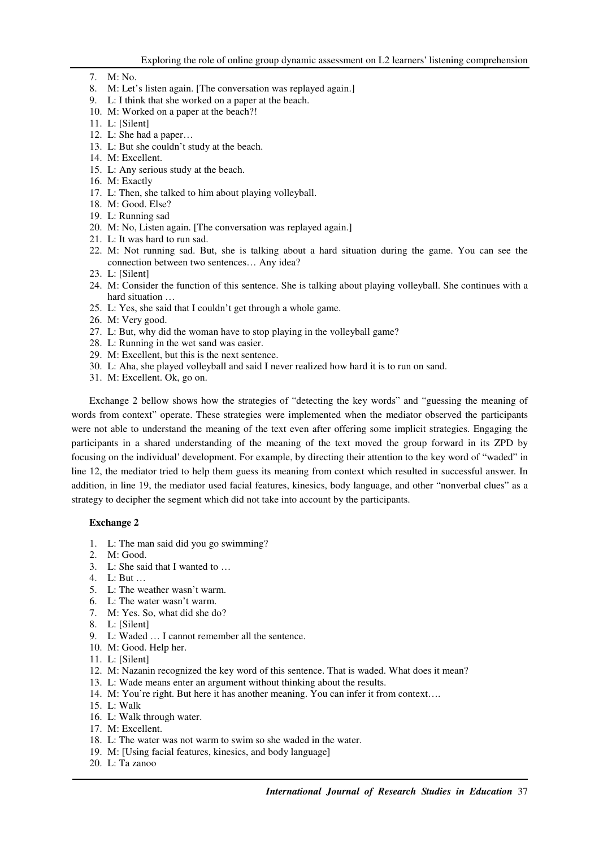- 7. M: No.
- 8. M: Let's listen again. [The conversation was replayed again.]
- 9. L: I think that she worked on a paper at the beach.
- 10. M: Worked on a paper at the beach?!
- 11. L: [Silent]
- 12. L: She had a paper…
- 13. L: But she couldn't study at the beach.
- 14. M: Excellent.
- 15. L: Any serious study at the beach.
- 16. M: Exactly
- 17. L: Then, she talked to him about playing volleyball.
- 18. M: Good. Else?
- 19. L: Running sad
- 20. M: No, Listen again. [The conversation was replayed again.]
- 21. L: It was hard to run sad.
- 22. M: Not running sad. But, she is talking about a hard situation during the game. You can see the connection between two sentences… Any idea?
- 23. L: [Silent]
- 24. M: Consider the function of this sentence. She is talking about playing volleyball. She continues with a hard situation …
- 25. L: Yes, she said that I couldn't get through a whole game.
- 26. M: Very good.
- 27. L: But, why did the woman have to stop playing in the volleyball game?
- 28. L: Running in the wet sand was easier.
- 29. M: Excellent, but this is the next sentence.
- 30. L: Aha, she played volleyball and said I never realized how hard it is to run on sand.
- 31. M: Excellent. Ok, go on.

Exchange 2 bellow shows how the strategies of "detecting the key words" and "guessing the meaning of words from context" operate. These strategies were implemented when the mediator observed the participants were not able to understand the meaning of the text even after offering some implicit strategies. Engaging the participants in a shared understanding of the meaning of the text moved the group forward in its ZPD by focusing on the individual' development. For example, by directing their attention to the key word of "waded" in line 12, the mediator tried to help them guess its meaning from context which resulted in successful answer. In addition, in line 19, the mediator used facial features, kinesics, body language, and other "nonverbal clues" as a strategy to decipher the segment which did not take into account by the participants.

# **Exchange 2**

- 1. L: The man said did you go swimming?
- 2. M: Good.
- 3. L: She said that I wanted to …
- 4. L: But …
- 5. L: The weather wasn't warm.
- 6. L: The water wasn't warm.
- 7. M: Yes. So, what did she do?
- 8. L: [Silent]
- 9. L: Waded … I cannot remember all the sentence.
- 10. M: Good. Help her.
- 11. L: [Silent]
- 12. M: Nazanin recognized the key word of this sentence. That is waded. What does it mean?
- 13. L: Wade means enter an argument without thinking about the results.
- 14. M: You're right. But here it has another meaning. You can infer it from context….
- 15. L: Walk
- 16. L: Walk through water.
- 17. M: Excellent.
- 18. L: The water was not warm to swim so she waded in the water.
- 19. M: [Using facial features, kinesics, and body language]
- 20. L: Ta zanoo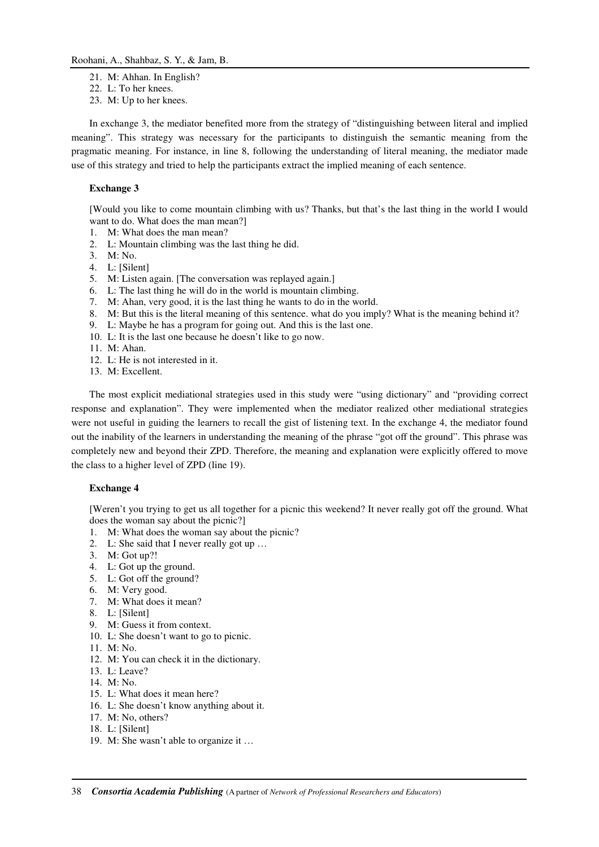#### Roohani, A., Shahbaz, S. Y., & Jam, B.

- 21. M: Ahhan. In English?
- 22. L: To her knees.
- 23. M: Up to her knees.

In exchange 3, the mediator benefited more from the strategy of "distinguishing between literal and implied meaning". This strategy was necessary for the participants to distinguish the semantic meaning from the pragmatic meaning. For instance, in line 8, following the understanding of literal meaning, the mediator made use of this strategy and tried to help the participants extract the implied meaning of each sentence.

## **Exchange 3**

[Would you like to come mountain climbing with us? Thanks, but that's the last thing in the world I would want to do. What does the man mean?]

- 1. M: What does the man mean?
- 2. L: Mountain climbing was the last thing he did.
- 3. M: No.
- 4. L: [Silent]
- 5. M: Listen again. [The conversation was replayed again.]
- 6. L: The last thing he will do in the world is mountain climbing.
- 7. M: Ahan, very good, it is the last thing he wants to do in the world.
- 8. M: But this is the literal meaning of this sentence. what do you imply? What is the meaning behind it?
- 9. L: Maybe he has a program for going out. And this is the last one.
- 10. L: It is the last one because he doesn't like to go now.
- 11. M: Ahan.
- 12. L: He is not interested in it.
- 13. M: Excellent.

The most explicit mediational strategies used in this study were "using dictionary" and "providing correct response and explanation". They were implemented when the mediator realized other mediational strategies were not useful in guiding the learners to recall the gist of listening text. In the exchange 4, the mediator found out the inability of the learners in understanding the meaning of the phrase "got off the ground". This phrase was completely new and beyond their ZPD. Therefore, the meaning and explanation were explicitly offered to move the class to a higher level of ZPD (line 19).

#### **Exchange 4**

[Weren't you trying to get us all together for a picnic this weekend? It never really got off the ground. What does the woman say about the picnic?]

- 1. M: What does the woman say about the picnic?
- 2. L: She said that I never really got up …
- 3. M: Got up?!
- 4. L: Got up the ground.
- 5. L: Got off the ground?
- 6. M: Very good.
- 7. M: What does it mean?
- 8. L: [Silent]
- 9. M: Guess it from context.
- 10. L: She doesn't want to go to picnic.
- 11. M: No.
- 12. M: You can check it in the dictionary.
- 13. L: Leave?
- 14. M: No.
- 15. L: What does it mean here?
- 16. L: She doesn't know anything about it.
- 17. M: No, others?
- 18. L: [Silent]
- 19. M: She wasn't able to organize it …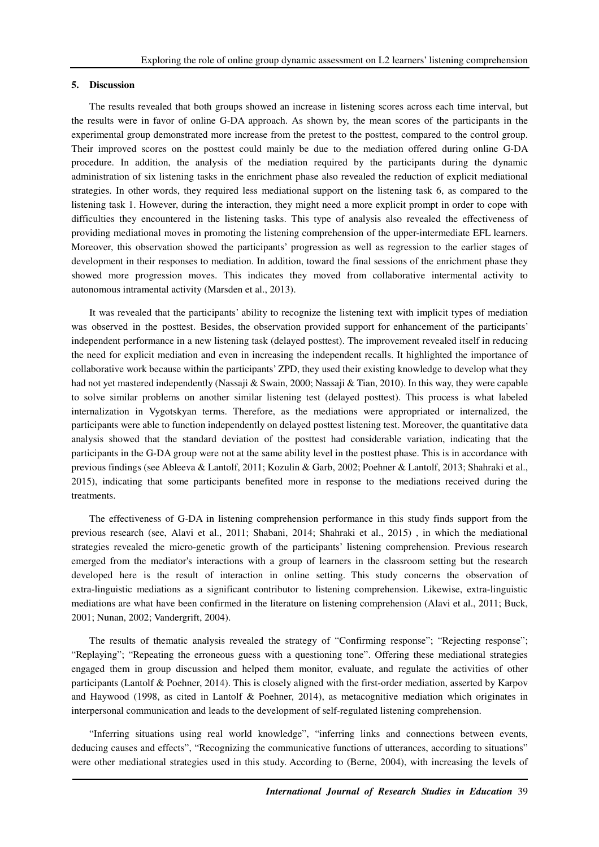#### **5. Discussion**

The results revealed that both groups showed an increase in listening scores across each time interval, but the results were in favor of online G-DA approach. As shown by, the mean scores of the participants in the experimental group demonstrated more increase from the pretest to the posttest, compared to the control group. Their improved scores on the posttest could mainly be due to the mediation offered during online G-DA procedure. In addition, the analysis of the mediation required by the participants during the dynamic administration of six listening tasks in the enrichment phase also revealed the reduction of explicit mediational strategies. In other words, they required less mediational support on the listening task 6, as compared to the listening task 1. However, during the interaction, they might need a more explicit prompt in order to cope with difficulties they encountered in the listening tasks. This type of analysis also revealed the effectiveness of providing mediational moves in promoting the listening comprehension of the upper-intermediate EFL learners. Moreover, this observation showed the participants' progression as well as regression to the earlier stages of development in their responses to mediation. In addition, toward the final sessions of the enrichment phase they showed more progression moves. This indicates they moved from collaborative intermental activity to autonomous intramental activity (Marsden et al., 2013).

It was revealed that the participants' ability to recognize the listening text with implicit types of mediation was observed in the posttest. Besides, the observation provided support for enhancement of the participants' independent performance in a new listening task (delayed posttest). The improvement revealed itself in reducing the need for explicit mediation and even in increasing the independent recalls. It highlighted the importance of collaborative work because within the participants' ZPD, they used their existing knowledge to develop what they had not yet mastered independently (Nassaji & Swain, 2000; Nassaji & Tian, 2010). In this way, they were capable to solve similar problems on another similar listening test (delayed posttest). This process is what labeled internalization in Vygotskyan terms. Therefore, as the mediations were appropriated or internalized, the participants were able to function independently on delayed posttest listening test. Moreover, the quantitative data analysis showed that the standard deviation of the posttest had considerable variation, indicating that the participants in the G-DA group were not at the same ability level in the posttest phase. This is in accordance with previous findings (see Ableeva & Lantolf, 2011; Kozulin & Garb, 2002; Poehner & Lantolf, 2013; Shahraki et al., 2015), indicating that some participants benefited more in response to the mediations received during the treatments.

The effectiveness of G-DA in listening comprehension performance in this study finds support from the previous research (see, Alavi et al., 2011; Shabani, 2014; Shahraki et al., 2015) , in which the mediational strategies revealed the micro-genetic growth of the participants' listening comprehension. Previous research emerged from the mediator's interactions with a group of learners in the classroom setting but the research developed here is the result of interaction in online setting. This study concerns the observation of extra-linguistic mediations as a significant contributor to listening comprehension. Likewise, extra-linguistic mediations are what have been confirmed in the literature on listening comprehension (Alavi et al., 2011; Buck, 2001; Nunan, 2002; Vandergrift, 2004).

The results of thematic analysis revealed the strategy of "Confirming response"; "Rejecting response"; "Replaying"; "Repeating the erroneous guess with a questioning tone". Offering these mediational strategies engaged them in group discussion and helped them monitor, evaluate, and regulate the activities of other participants (Lantolf & Poehner, 2014). This is closely aligned with the first-order mediation, asserted by Karpov and Haywood (1998, as cited in Lantolf & Poehner, 2014), as metacognitive mediation which originates in interpersonal communication and leads to the development of self-regulated listening comprehension.

"Inferring situations using real world knowledge", "inferring links and connections between events, deducing causes and effects", "Recognizing the communicative functions of utterances, according to situations" were other mediational strategies used in this study. According to (Berne, 2004), with increasing the levels of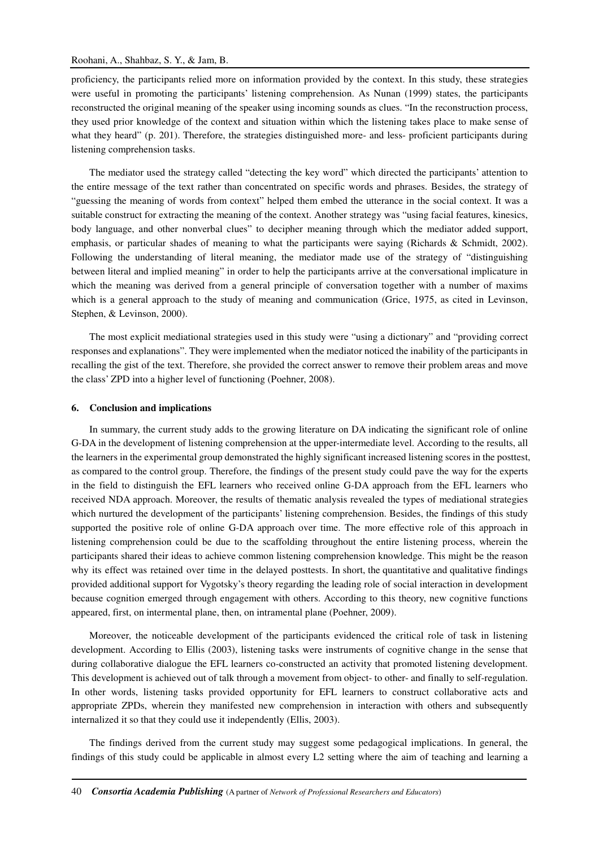# Roohani, A., Shahbaz, S. Y., & Jam, B.

proficiency, the participants relied more on information provided by the context. In this study, these strategies were useful in promoting the participants' listening comprehension. As Nunan (1999) states, the participants reconstructed the original meaning of the speaker using incoming sounds as clues. "In the reconstruction process, they used prior knowledge of the context and situation within which the listening takes place to make sense of what they heard" (p. 201). Therefore, the strategies distinguished more- and less- proficient participants during listening comprehension tasks.

The mediator used the strategy called "detecting the key word" which directed the participants' attention to the entire message of the text rather than concentrated on specific words and phrases. Besides, the strategy of "guessing the meaning of words from context" helped them embed the utterance in the social context. It was a suitable construct for extracting the meaning of the context. Another strategy was "using facial features, kinesics, body language, and other nonverbal clues" to decipher meaning through which the mediator added support, emphasis, or particular shades of meaning to what the participants were saying (Richards & Schmidt, 2002). Following the understanding of literal meaning, the mediator made use of the strategy of "distinguishing between literal and implied meaning" in order to help the participants arrive at the conversational implicature in which the meaning was derived from a general principle of conversation together with a number of maxims which is a general approach to the study of meaning and communication (Grice, 1975, as cited in Levinson, Stephen, & Levinson, 2000).

The most explicit mediational strategies used in this study were "using a dictionary" and "providing correct responses and explanations". They were implemented when the mediator noticed the inability of the participants in recalling the gist of the text. Therefore, she provided the correct answer to remove their problem areas and move the class' ZPD into a higher level of functioning (Poehner, 2008).

#### **6. Conclusion and implications**

In summary, the current study adds to the growing literature on DA indicating the significant role of online G-DA in the development of listening comprehension at the upper-intermediate level. According to the results, all the learners in the experimental group demonstrated the highly significant increased listening scores in the posttest, as compared to the control group. Therefore, the findings of the present study could pave the way for the experts in the field to distinguish the EFL learners who received online G-DA approach from the EFL learners who received NDA approach. Moreover, the results of thematic analysis revealed the types of mediational strategies which nurtured the development of the participants' listening comprehension. Besides, the findings of this study supported the positive role of online G-DA approach over time. The more effective role of this approach in listening comprehension could be due to the scaffolding throughout the entire listening process, wherein the participants shared their ideas to achieve common listening comprehension knowledge. This might be the reason why its effect was retained over time in the delayed posttests. In short, the quantitative and qualitative findings provided additional support for Vygotsky's theory regarding the leading role of social interaction in development because cognition emerged through engagement with others. According to this theory, new cognitive functions appeared, first, on intermental plane, then, on intramental plane (Poehner, 2009).

Moreover, the noticeable development of the participants evidenced the critical role of task in listening development. According to Ellis (2003), listening tasks were instruments of cognitive change in the sense that during collaborative dialogue the EFL learners co-constructed an activity that promoted listening development. This development is achieved out of talk through a movement from object- to other- and finally to self-regulation. In other words, listening tasks provided opportunity for EFL learners to construct collaborative acts and appropriate ZPDs, wherein they manifested new comprehension in interaction with others and subsequently internalized it so that they could use it independently (Ellis, 2003).

The findings derived from the current study may suggest some pedagogical implications. In general, the findings of this study could be applicable in almost every L2 setting where the aim of teaching and learning a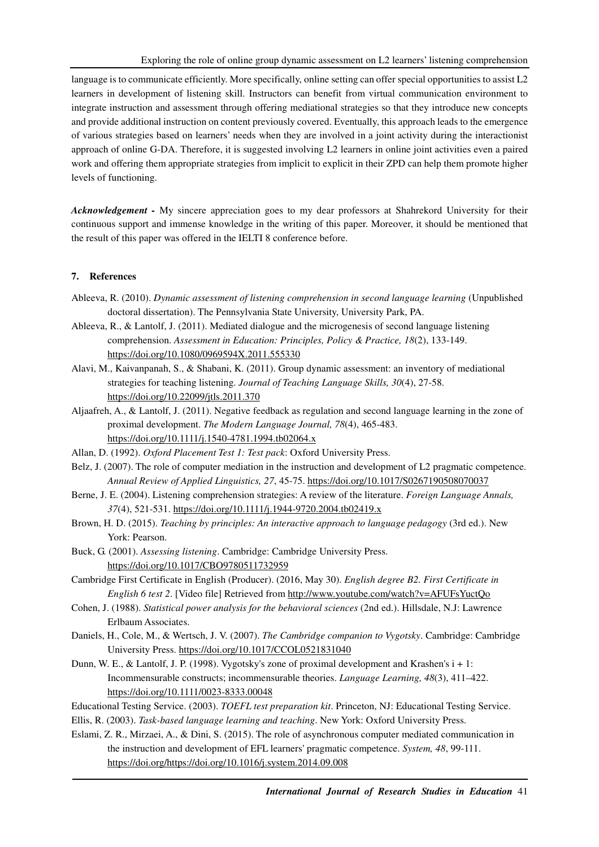language is to communicate efficiently. More specifically, online setting can offer special opportunities to assist L2 learners in development of listening skill. Instructors can benefit from virtual communication environment to integrate instruction and assessment through offering mediational strategies so that they introduce new concepts and provide additional instruction on content previously covered. Eventually, this approach leads to the emergence of various strategies based on learners' needs when they are involved in a joint activity during the interactionist approach of online G-DA. Therefore, it is suggested involving L2 learners in online joint activities even a paired work and offering them appropriate strategies from implicit to explicit in their ZPD can help them promote higher levels of functioning.

*Acknowledgement -* My sincere appreciation goes to my dear professors at Shahrekord University for their continuous support and immense knowledge in the writing of this paper. Moreover, it should be mentioned that the result of this paper was offered in the IELTI 8 conference before.

# **7. References**

- Ableeva, R. (2010). *Dynamic assessment of listening comprehension in second language learning* (Unpublished doctoral dissertation). The Pennsylvania State University, University Park, PA.
- Ableeva, R., & Lantolf, J. (2011). Mediated dialogue and the microgenesis of second language listening comprehension. *Assessment in Education: Principles, Policy & Practice, 18*(2), 133-149. https://doi.org/10.1080/0969594X.2011.555330
- Alavi, M., Kaivanpanah, S., & Shabani, K. (2011). Group dynamic assessment: an inventory of mediational strategies for teaching listening. *Journal of Teaching Language Skills, 30*(4), 27-58. https://doi.org/10.22099/jtls.2011.370
- Aljaafreh, A., & Lantolf, J. (2011). Negative feedback as regulation and second language learning in the zone of proximal development. *The Modern Language Journal, 78*(4), 465-483. https://doi.org/10.1111/j.1540-4781.1994.tb02064.x
- Allan, D. (1992). *Oxford Placement Test 1: Test pack*: Oxford University Press.
- Belz, J. (2007). The role of computer mediation in the instruction and development of L2 pragmatic competence. *Annual Review of Applied Linguistics, 27*, 45-75. https://doi.org/10.1017/S0267190508070037
- Berne, J. E. (2004). Listening comprehension strategies: A review of the literature. *Foreign Language Annals, 37*(4), 521-531. https://doi.org/10.1111/j.1944-9720.2004.tb02419.x
- Brown, H. D. (2015). *Teaching by principles: An interactive approach to language pedagogy* (3rd ed.). New York: Pearson.
- Buck, G. (2001). *Assessing listening*. Cambridge: Cambridge University Press. https://doi.org/10.1017/CBO9780511732959
- Cambridge First Certificate in English (Producer). (2016, May 30). *English degree B2. First Certificate in English 6 test 2*. [Video file] Retrieved from http://www.youtube.com/watch?v=AFUFsYuctQo
- Cohen, J. (1988). *Statistical power analysis for the behavioral sciences* (2nd ed.). Hillsdale, N.J: Lawrence Erlbaum Associates.
- Daniels, H., Cole, M., & Wertsch, J. V. (2007). *The Cambridge companion to Vygotsky*. Cambridge: Cambridge University Press. https://doi.org/10.1017/CCOL0521831040
- Dunn, W. E., & Lantolf, J. P. (1998). Vygotsky's zone of proximal development and Krashen's i + 1: Incommensurable constructs; incommensurable theories. *Language Learning, 48*(3), 411–422. https://doi.org/10.1111/0023-8333.00048
- Educational Testing Service. (2003). *TOEFL test preparation kit*. Princeton, NJ: Educational Testing Service.
- Ellis, R. (2003). *Task-based language learning and teaching*. New York: Oxford University Press.
- Eslami, Z. R., Mirzaei, A., & Dini, S. (2015). The role of asynchronous computer mediated communication in the instruction and development of EFL learners' pragmatic competence. *System, 48*, 99-111. https://doi.org/https://doi.org/10.1016/j.system.2014.09.008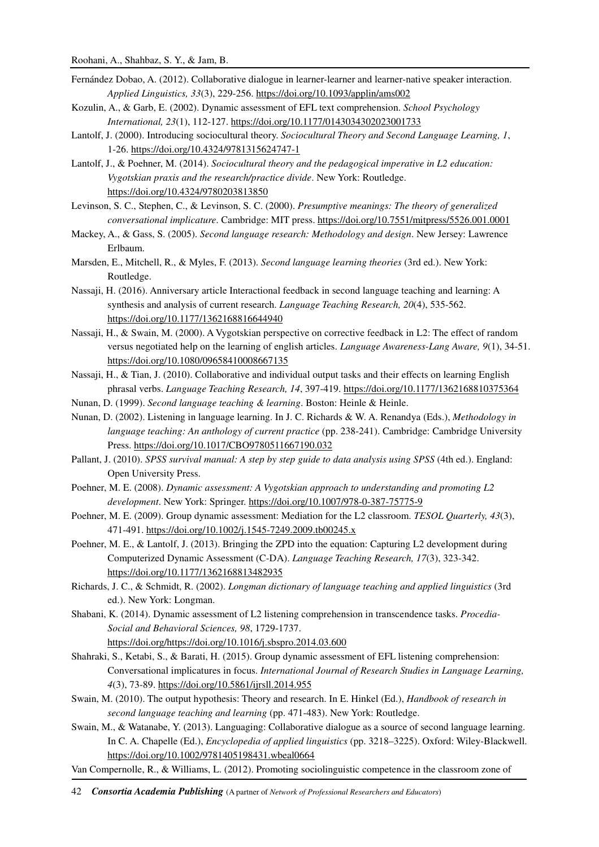- Fernández Dobao, A. (2012). Collaborative dialogue in learner-learner and learner-native speaker interaction. *Applied Linguistics, 33*(3), 229-256. https://doi.org/10.1093/applin/ams002
- Kozulin, A., & Garb, E. (2002). Dynamic assessment of EFL text comprehension. *School Psychology International, 23*(1), 112-127. https://doi.org/10.1177/0143034302023001733
- Lantolf, J. (2000). Introducing sociocultural theory. *Sociocultural Theory and Second Language Learning, 1*, 1-26. https://doi.org/10.4324/9781315624747-1
- Lantolf, J., & Poehner, M. (2014). *Sociocultural theory and the pedagogical imperative in L2 education: Vygotskian praxis and the research/practice divide*. New York: Routledge. https://doi.org/10.4324/9780203813850
- Levinson, S. C., Stephen, C., & Levinson, S. C. (2000). *Presumptive meanings: The theory of generalized conversational implicature*. Cambridge: MIT press. https://doi.org/10.7551/mitpress/5526.001.0001
- Mackey, A., & Gass, S. (2005). *Second language research: Methodology and design*. New Jersey: Lawrence Erlbaum.
- Marsden, E., Mitchell, R., & Myles, F. (2013). *Second language learning theories* (3rd ed.). New York: Routledge.
- Nassaji, H. (2016). Anniversary article Interactional feedback in second language teaching and learning: A synthesis and analysis of current research. *Language Teaching Research, 20*(4), 535-562. https://doi.org/10.1177/1362168816644940
- Nassaji, H., & Swain, M. (2000). A Vygotskian perspective on corrective feedback in L2: The effect of random versus negotiated help on the learning of english articles. *Language Awareness-Lang Aware, 9*(1), 34-51. https://doi.org/10.1080/09658410008667135
- Nassaji, H., & Tian, J. (2010). Collaborative and individual output tasks and their effects on learning English phrasal verbs. *Language Teaching Research, 14*, 397-419. https://doi.org/10.1177/1362168810375364
- Nunan, D. (1999). *Second language teaching & learning*. Boston: Heinle & Heinle.
- Nunan, D. (2002). Listening in language learning. In J. C. Richards & W. A. Renandya (Eds.), *Methodology in language teaching: An anthology of current practice* (pp. 238-241). Cambridge: Cambridge University Press. https://doi.org/10.1017/CBO9780511667190.032
- Pallant, J. (2010). *SPSS survival manual: A step by step guide to data analysis using SPSS* (4th ed.). England: Open University Press.
- Poehner, M. E. (2008). *Dynamic assessment: A Vygotskian approach to understanding and promoting L2 development*. New York: Springer. https://doi.org/10.1007/978-0-387-75775-9
- Poehner, M. E. (2009). Group dynamic assessment: Mediation for the L2 classroom. *TESOL Quarterly, 43*(3), 471-491. https://doi.org/10.1002/j.1545-7249.2009.tb00245.x
- Poehner, M. E., & Lantolf, J. (2013). Bringing the ZPD into the equation: Capturing L2 development during Computerized Dynamic Assessment (C-DA). *Language Teaching Research, 17*(3), 323-342. https://doi.org/10.1177/1362168813482935
- Richards, J. C., & Schmidt, R. (2002). *Longman dictionary of language teaching and applied linguistics* (3rd ed.). New York: Longman.
- Shabani, K. (2014). Dynamic assessment of L2 listening comprehension in transcendence tasks. *Procedia-Social and Behavioral Sciences, 98*, 1729-1737.
	- https://doi.org/https://doi.org/10.1016/j.sbspro.2014.03.600
- Shahraki, S., Ketabi, S., & Barati, H. (2015). Group dynamic assessment of EFL listening comprehension: Conversational implicatures in focus. *International Journal of Research Studies in Language Learning, 4*(3), 73-89. https://doi.org/10.5861/ijrsll.2014.955
- Swain, M. (2010). The output hypothesis: Theory and research. In E. Hinkel (Ed.), *Handbook of research in second language teaching and learning* (pp. 471-483). New York: Routledge.
- Swain, M., & Watanabe, Y. (2013). Languaging: Collaborative dialogue as a source of second language learning. In C. A. Chapelle (Ed.), *Encyclopedia of applied linguistics* (pp. 3218–3225). Oxford: Wiley-Blackwell. https://doi.org/10.1002/9781405198431.wbeal0664
- Van Compernolle, R., & Williams, L. (2012). Promoting sociolinguistic competence in the classroom zone of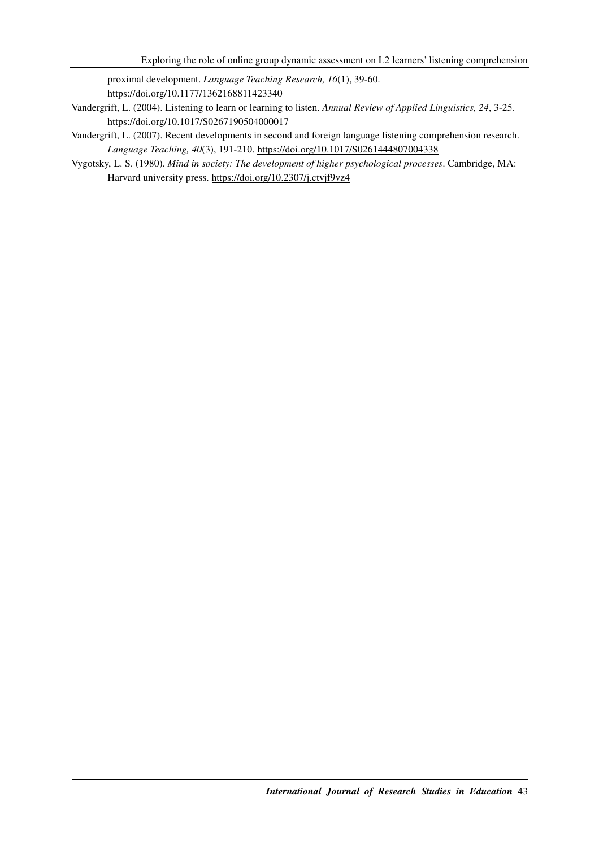proximal development. *Language Teaching Research, 16*(1), 39-60. https://doi.org/10.1177/1362168811423340

- Vandergrift, L. (2004). Listening to learn or learning to listen. *Annual Review of Applied Linguistics, 24*, 3-25. https://doi.org/10.1017/S0267190504000017
- Vandergrift, L. (2007). Recent developments in second and foreign language listening comprehension research. *Language Teaching, 40*(3), 191-210. https://doi.org/10.1017/S0261444807004338
- Vygotsky, L. S. (1980). *Mind in society: The development of higher psychological processes*. Cambridge, MA: Harvard university press. https://doi.org/10.2307/j.ctvjf9vz4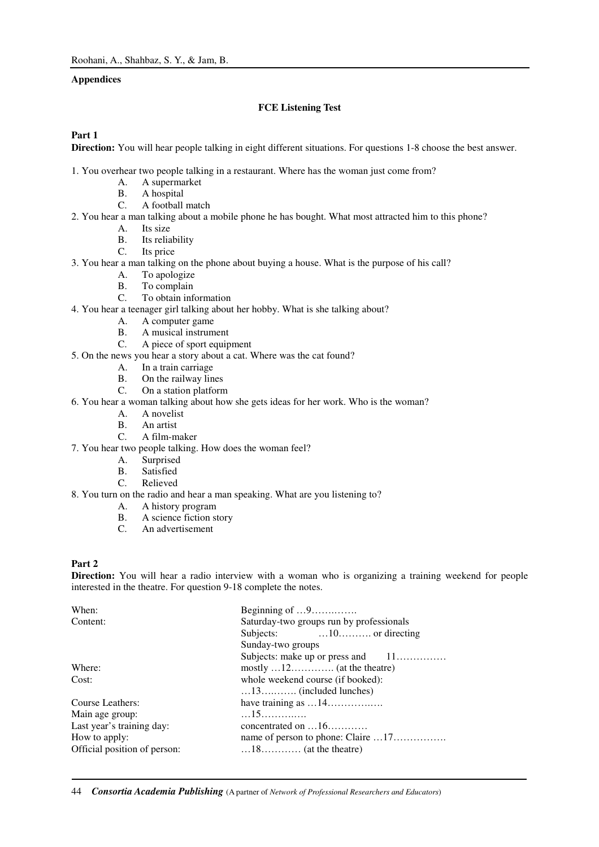# **Appendices**

### **FCE Listening Test**

### **Part 1**

**Direction:** You will hear people talking in eight different situations. For questions 1-8 choose the best answer.

- 1. You overhear two people talking in a restaurant. Where has the woman just come from?
	- A. A supermarket<br>B. A hospital
	- A hospital
	- C. A football match
- 2. You hear a man talking about a mobile phone he has bought. What most attracted him to this phone?
	- A. Its size
	- B. Its reliability
	- C. Its price
- 3. You hear a man talking on the phone about buying a house. What is the purpose of his call?
	- A. To apologize
	- B. To complain<br>C. To obtain info
	- To obtain information
- 4. You hear a teenager girl talking about her hobby. What is she talking about?
	- A. A computer game
	- B. A musical instrument
	- C. A piece of sport equipment
- 5. On the news you hear a story about a cat. Where was the cat found?
	- A. In a train carriage
	- B. On the railway lines
	- C. On a station platform
- 6. You hear a woman talking about how she gets ideas for her work. Who is the woman?
	- A. A novelist
	- B. An artist<br>C. A film-m
	- A film-maker
- 7. You hear two people talking. How does the woman feel?
	- A. Surprised
	- B. Satisfied
	- C. Relieved
- 8. You turn on the radio and hear a man speaking. What are you listening to?
	- A. A history program
	- B. A science fiction story
	- C. An advertisement

## **Part 2**

**Direction:** You will hear a radio interview with a woman who is organizing a training weekend for people interested in the theatre. For question 9-18 complete the notes.

| Beginning of $\dots$ 9                                   |  |  |  |  |
|----------------------------------------------------------|--|--|--|--|
| Saturday-two groups run by professionals                 |  |  |  |  |
|                                                          |  |  |  |  |
| Sunday-two groups                                        |  |  |  |  |
| Subjects: make up or press and $11$                      |  |  |  |  |
| $mostly \ldots 12 \ldots \ldots \ldots$ (at the theatre) |  |  |  |  |
| whole weekend course (if booked):                        |  |  |  |  |
| $\dots$ 13 $\dots$ (included lunches)                    |  |  |  |  |
|                                                          |  |  |  |  |
| 15                                                       |  |  |  |  |
| concentrated on $\dots 16\dots\dots\dots$                |  |  |  |  |
|                                                          |  |  |  |  |
| $\dots$ 18 $\dots$ (at the theatre)                      |  |  |  |  |
|                                                          |  |  |  |  |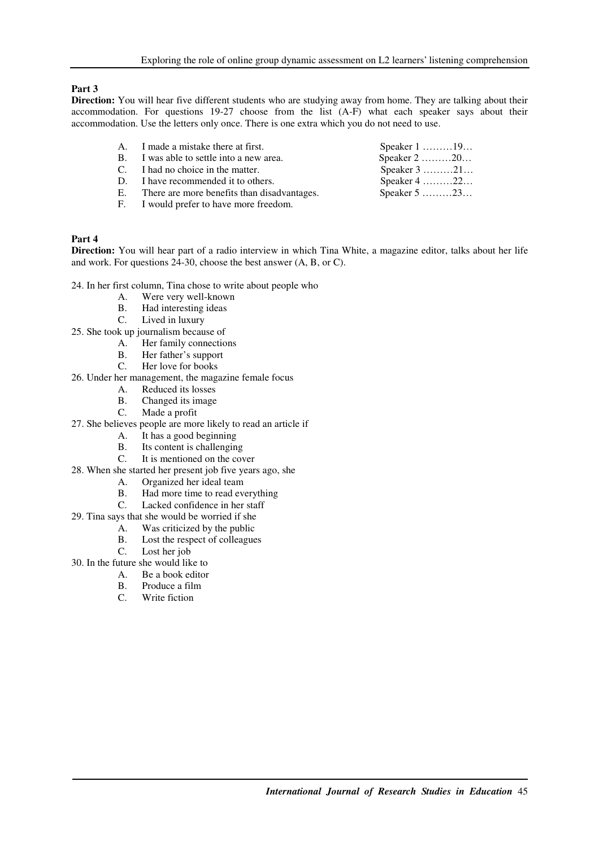# **Part 3**

**Direction:** You will hear five different students who are studying away from home. They are talking about their accommodation. For questions 19-27 choose from the list (A-F) what each speaker says about their accommodation. Use the letters only once. There is one extra which you do not need to use.

| A. I made a mistake there at first.            | Speaker $1$ 19                             |
|------------------------------------------------|--------------------------------------------|
| B. I was able to settle into a new area.       | Speaker $2$ 20                             |
| C. I had no choice in the matter.              | Speaker $3$ 21                             |
| D. I have recommended it to others.            | Speaker $4$ 22                             |
| E. There are more benefits than disadvantages. | Speaker $5 \ldots \ldots \ldots 23 \ldots$ |
| F. I would prefer to have more freedom.        |                                            |

# **Part 4**

**Direction:** You will hear part of a radio interview in which Tina White, a magazine editor, talks about her life and work. For questions 24-30, choose the best answer (A, B, or C).

24. In her first column, Tina chose to write about people who

- A. Were very well-known<br>B. Had interesting ideas
- Had interesting ideas
- C. Lived in luxury
- 25. She took up journalism because of<br>A. Her family connection
	- Her family connections
		- B. Her father's support
		- C. Her love for books
- 26. Under her management, the magazine female focus
	- A. Reduced its losses
	- B. Changed its image<br>C. Made a profit
	- Made a profit
- 27. She believes people are more likely to read an article if
	- A. It has a good beginning<br>B. Its content is challengin
	- B. Its content is challenging<br>C. It is mentioned on the cov
	- It is mentioned on the cover
- 28. When she started her present job five years ago, she
	- A. Organized her ideal team
	- B. Had more time to read everything
	- C. Lacked confidence in her staff
- 29. Tina says that she would be worried if she
	- A. Was criticized by the public
	- B. Lost the respect of colleagues<br>C. Lost her job
	- Lost her job
- 30. In the future she would like to
	- A. Be a book editor
		- B. Produce a film
		- C. Write fiction